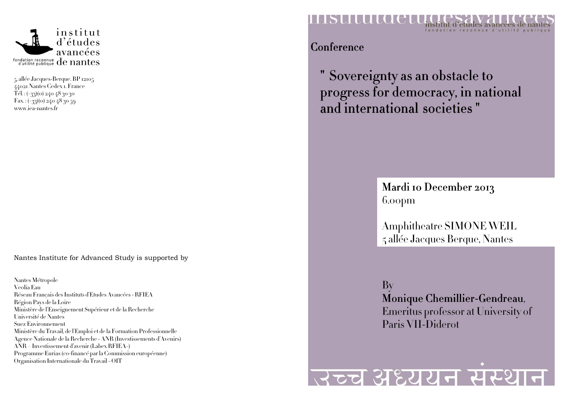

5, allée Jacques-Berque. BP 1210544021 Nantes Cedex 1. France Tél. : (+33)(0) 240 48 30 30 Fax.:  $(+33)(0)$  240 48 30 59 www.iea-nantes.fr

Nantes Institute for Advanced Study is supported by

Nantes Métropole Veolia Eau Réseau Français des Instituts d'Etudes Avancées - RFIEA Région Pays de la Loire Ministère de l'Enseignement Supérieur et de la Recherche Université de Nantes Suez Environnement Ministère du Travail, de l'Emploi et de la Formation Professionnelle Agence Nationale de la Recherche - ANR (Investissements d'Avenirs) ANR – Investissement d'avenir (Labex RFIEA+) Programme Eurias (co-financé par la Commission européenne) Organisation Internationale du Travail - OIT



Conference

" Sovereignty as an obstacle to  $\;$ progress for democracy, in national and international societies "

> Mardi 10 December 2013 6.00pm

Amphitheatre SIMONE WEIL 5 allée Jacques Berque, Nantes

By Monique Chemillier-Gendreau, Emeritus professor at University of Paris VII-Diderot

## उच्च अध्ययन संस्थान